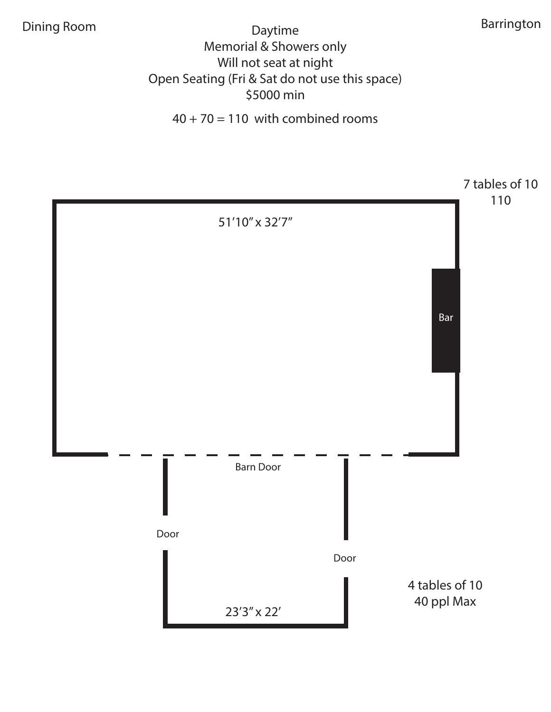Dining Room **Barrington** Daytime **Barrington** Barrington Memorial & Showers only Will not seat at night Open Seating (Fri & Sat do not use this space) \$5000 min

 $40 + 70 = 110$  with combined rooms

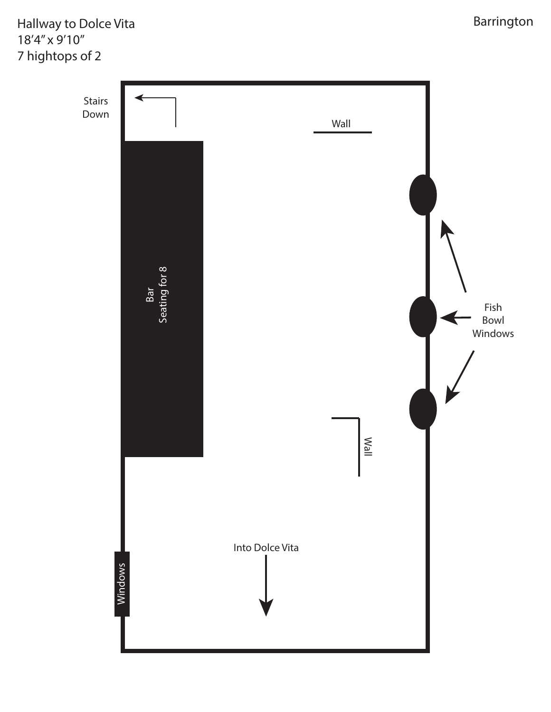Hallway to Dolce Vita Barrington 18'4" x 9'10" 7 hightops of 2

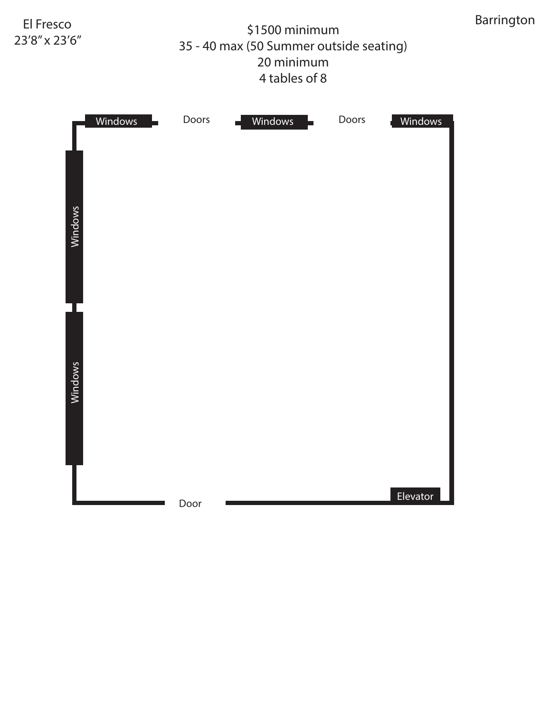## \$1500 minimum Barrington El Fresco 35 - 40 max (50 Summer outside seating) 20 minimum 4 tables of 8

23'8" x 23'6"

| Windows | Doors | Windows | Doors | Windows  |
|---------|-------|---------|-------|----------|
|         |       |         |       |          |
| Windows |       |         |       |          |
|         |       |         |       |          |
|         |       |         |       |          |
|         |       |         |       |          |
| Windows |       |         |       |          |
|         |       |         |       |          |
|         |       |         |       |          |
|         | Door  |         |       | Elevator |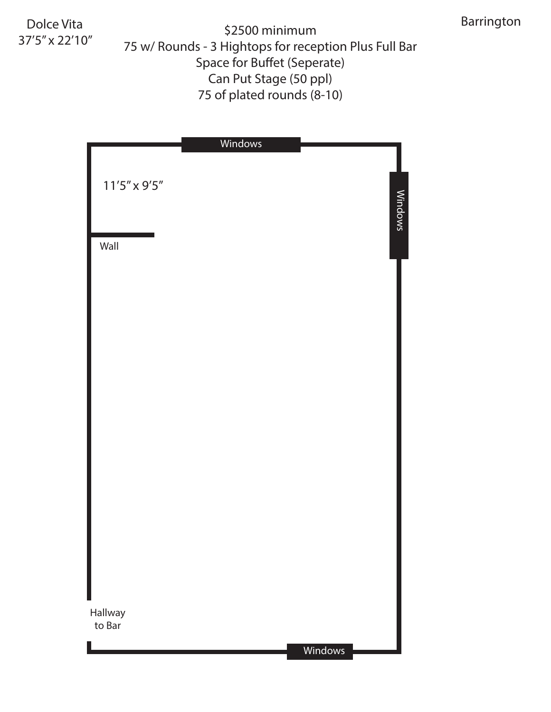Dolce Vita 37'5" x 22'10"

\$2500 minimum 75 w/ Rounds - 3 Hightops for reception Plus Full Bar Space for Buffet (Seperate) Can Put Stage (50 ppl) 75 of plated rounds (8-10)

|                       | Windows |         |
|-----------------------|---------|---------|
| $11'5'' \times 9'5''$ |         |         |
| Wall                  |         | Windows |
|                       |         |         |
|                       |         |         |
|                       |         |         |
|                       |         |         |
|                       |         |         |
|                       |         |         |
|                       |         |         |
|                       |         |         |
|                       |         |         |
| Hallway               |         |         |
| to Bar                |         | Windows |
|                       |         |         |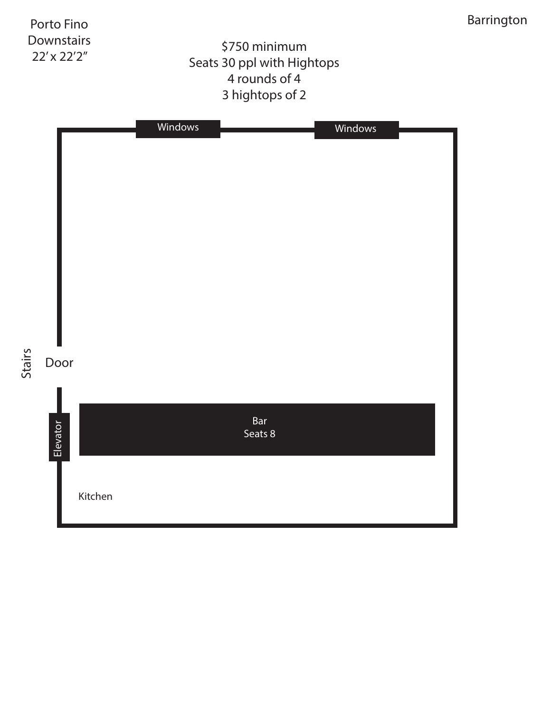

Stairs

## \$750 minimum Seats 30 ppl with Hightops 4 rounds of 4 3 hightops of 2